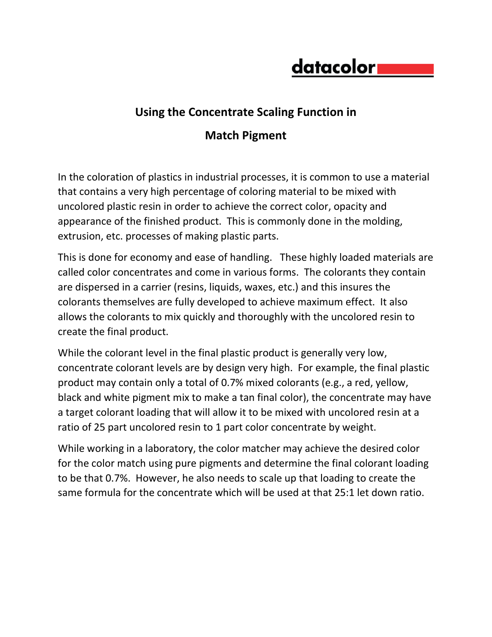## datacolor**i**

## **Using the Concentrate Scaling Function in**

## **Match Pigment**

In the coloration of plastics in industrial processes, it is common to use a material that contains a very high percentage of coloring material to be mixed with uncolored plastic resin in order to achieve the correct color, opacity and appearance of the finished product. This is commonly done in the molding, extrusion, etc. processes of making plastic parts.

This is done for economy and ease of handling. These highly loaded materials are called color concentrates and come in various forms. The colorants they contain are dispersed in a carrier (resins, liquids, waxes, etc.) and this insures the colorants themselves are fully developed to achieve maximum effect. It also allows the colorants to mix quickly and thoroughly with the uncolored resin to create the final product.

While the colorant level in the final plastic product is generally very low, concentrate colorant levels are by design very high. For example, the final plastic product may contain only a total of 0.7% mixed colorants (e.g., a red, yellow, black and white pigment mix to make a tan final color), the concentrate may have a target colorant loading that will allow it to be mixed with uncolored resin at a ratio of 25 part uncolored resin to 1 part color concentrate by weight.

While working in a laboratory, the color matcher may achieve the desired color for the color match using pure pigments and determine the final colorant loading to be that 0.7%. However, he also needs to scale up that loading to create the same formula for the concentrate which will be used at that 25:1 let down ratio.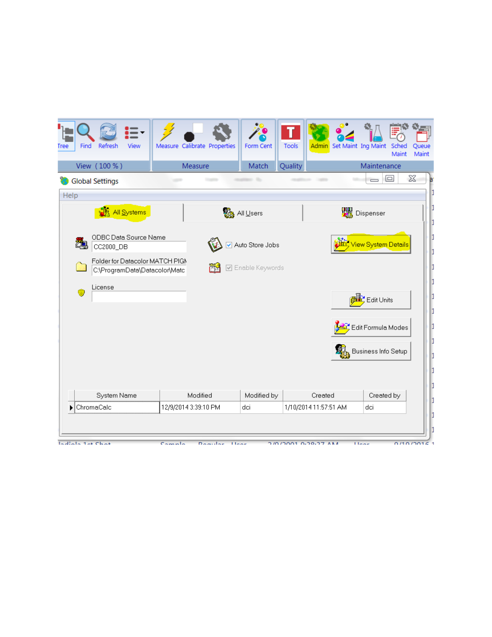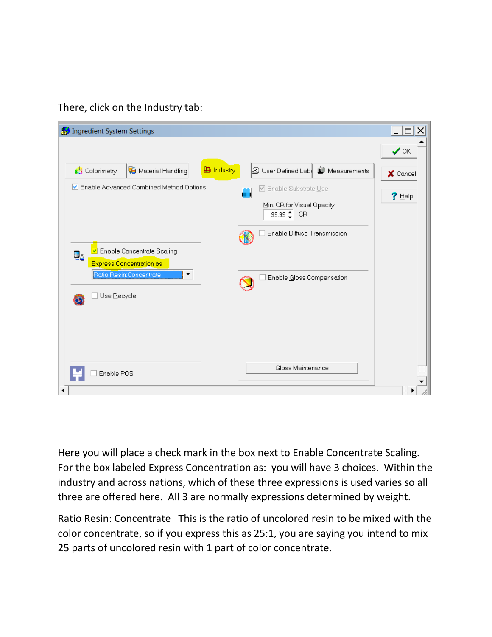There, click on the Industry tab:



Here you will place a check mark in the box next to Enable Concentrate Scaling. For the box labeled Express Concentration as: you will have 3 choices. Within the industry and across nations, which of these three expressions is used varies so all three are offered here. All 3 are normally expressions determined by weight.

Ratio Resin: Concentrate This is the ratio of uncolored resin to be mixed with the color concentrate, so if you express this as 25:1, you are saying you intend to mix 25 parts of uncolored resin with 1 part of color concentrate.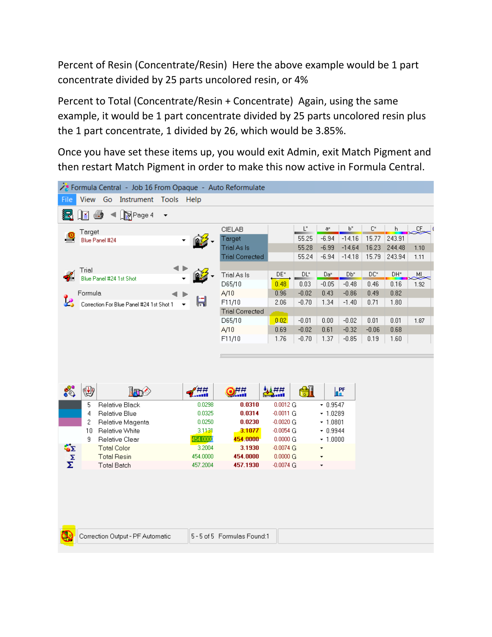Percent of Resin (Concentrate/Resin) Here the above example would be 1 part concentrate divided by 25 parts uncolored resin, or 4%

Percent to Total (Concentrate/Resin + Concentrate) Again, using the same example, it would be 1 part concentrate divided by 25 parts uncolored resin plus the 1 part concentrate, 1 divided by 26, which would be 3.85%.

Once you have set these items up, you would exit Admin, exit Match Pigment and then restart Match Pigment in order to make this now active in Formula Central.

|          |         | y <sup>e</sup> Formula Central - Job 16 From Opaque - Auto Reformulate |                      |                                  |                         |                |                 |                          |                |        |      |  |
|----------|---------|------------------------------------------------------------------------|----------------------|----------------------------------|-------------------------|----------------|-----------------|--------------------------|----------------|--------|------|--|
| File     |         | View Go<br>Instrument                                                  | Tools Help           |                                  |                         |                |                 |                          |                |        |      |  |
| 湿        | l≚l     | RPage 4<br>6<br>$\overline{\phantom{a}}$                               |                      |                                  |                         |                |                 |                          |                |        |      |  |
|          | Target  |                                                                        |                      | CIELAB                           |                         | $\mathsf{L}^*$ | a×              | P,                       | $\mathbb{C}^*$ | h.     | Œ,   |  |
|          |         | Blue Panel #24                                                         |                      | Target                           |                         | 55.25          | $-6.94$         | $-14.16$                 | 15.77          | 243.91 |      |  |
|          |         |                                                                        |                      | <b>Trial As Is</b>               |                         | 55.28          | $-6.99$         | $-14.64$                 | 16.23          | 244.48 | 1.10 |  |
|          |         |                                                                        |                      | <b>Trial Corrected</b>           |                         | 55.24          | $-6.94$         | $-14.18$                 | 15.79          | 243.94 | 1.11 |  |
|          | Trial   |                                                                        |                      |                                  |                         |                |                 |                          |                |        |      |  |
|          |         | Blue Panel #24 1st Shot                                                |                      | Trial As Is                      | DE*                     | DL"            | Da <sup>x</sup> | Db <sup>*</sup>          | DC*            | DH*    | MI,  |  |
|          |         |                                                                        |                      | D65/10                           | 0.48                    | 0.03           | $-0.05$         | $-0.48$                  | 0.46           | 0.16   | 1.92 |  |
|          | Formula |                                                                        | H                    | A/10                             | 0.96                    | $-0.02$        | 0.43            | $-0.86$                  | 0.49           | 0.82   |      |  |
|          |         | Correction For Blue Panel #24 1st Shot 1                               |                      | F11/10<br><b>Trial Corrected</b> | 2.06                    | $-0.70$        | 1.34            | $-1.40$                  | 0.71           | 1.80   |      |  |
|          |         |                                                                        |                      | D65/10                           | 0.02                    | $-0.01$        | 0.00            | $-0.02$                  | 0.01           | 0.01   | 1.87 |  |
|          |         |                                                                        |                      | A/10                             | 0.69                    | $-0.02$        | 0.61            | $-0.32$                  | $-0.06$        | 0.68   |      |  |
|          |         |                                                                        |                      | F11/10                           | 1.76                    | $-0.70$        | 1.37            | $-0.85$                  | 0.19           | 1.60   |      |  |
|          |         |                                                                        |                      |                                  |                         |                |                 |                          |                |        |      |  |
|          |         |                                                                        |                      |                                  |                         |                |                 |                          |                |        |      |  |
|          |         |                                                                        |                      |                                  |                         |                |                 |                          |                |        |      |  |
|          |         |                                                                        |                      |                                  |                         |                |                 |                          |                |        |      |  |
|          |         |                                                                        |                      |                                  |                         |                |                 |                          |                |        |      |  |
| ស        | 變       | <b>In</b>                                                              | ##<br>               | 975                              | السكارية                | H              |                 | $\mathbb{L}^{\text{PF}}$ |                |        |      |  |
|          | 5       | Relative Black                                                         | 0.0298               | 0.0310                           | 0.0012G                 |                | $-0.9547$       |                          |                |        |      |  |
|          | 4       | Relative Blue                                                          | 0.0325               | 0.0314                           | $-0.0011$ G             |                | $-1.0289$       |                          |                |        |      |  |
|          | 2       | Relative Magenta                                                       | 0.0250               | 0.0230                           | $-0.0020$ G             |                | $-1.0801$       |                          |                |        |      |  |
|          | 10      | Relative White                                                         | 3.1131               | 3.1077                           | $-0.0054$ G             |                | $-0.9944$       |                          |                |        |      |  |
|          | 9       | Relative Clear                                                         | 454.0000             | 454.0000                         | 0.0000 G                |                | $-1.0000$       |                          |                |        |      |  |
| ŠΣ       |         | <b>Total Color</b>                                                     | 3.2004               | 3.1930                           | $-0.0074$ G             |                | ٠               |                          |                |        |      |  |
|          |         | <b>Total Resin</b>                                                     | 454.0000<br>457.2004 | 454.0000<br>457.1930             | 0.0000 G<br>$-0.0074$ G |                | ÷               |                          |                |        |      |  |
| $\Sigma$ |         | <b>Total Batch</b>                                                     |                      |                                  |                         |                |                 |                          |                |        |      |  |
|          |         |                                                                        |                      |                                  |                         |                |                 |                          |                |        |      |  |
|          |         |                                                                        |                      |                                  |                         |                |                 |                          |                |        |      |  |
|          |         |                                                                        |                      |                                  |                         |                |                 |                          |                |        |      |  |
|          |         |                                                                        |                      |                                  |                         |                |                 |                          |                |        |      |  |
|          |         |                                                                        |                      |                                  |                         |                |                 |                          |                |        |      |  |
|          |         | Correction Output - PF Automatic                                       |                      | 5-5 of 5 Formulas Found:1        |                         |                |                 |                          |                |        |      |  |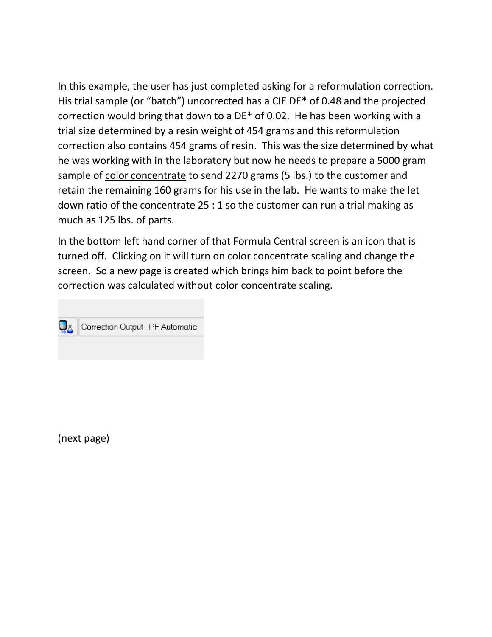In this example, the user has just completed asking for a reformulation correction. His trial sample (or "batch") uncorrected has a CIE DE\* of 0.48 and the projected correction would bring that down to a DE\* of 0.02. He has been working with a trial size determined by a resin weight of 454 grams and this reformulation correction also contains 454 grams of resin. This was the size determined by what he was working with in the laboratory but now he needs to prepare a 5000 gram sample of color concentrate to send 2270 grams (5 lbs.) to the customer and retain the remaining 160 grams for his use in the lab. He wants to make the let down ratio of the concentrate 25 : 1 so the customer can run a trial making as much as 125 lbs. of parts.

In the bottom left hand corner of that Formula Central screen is an icon that is turned off. Clicking on it will turn on color concentrate scaling and change the screen. So a new page is created which brings him back to point before the correction was calculated without color concentrate scaling.



(next page)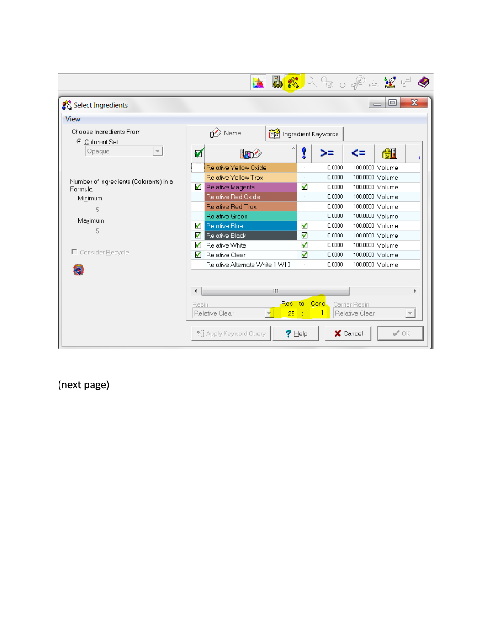|                                               | <b>AR</b> AR OPALE<br>b                                                                                           |  |  |  |  |  |  |
|-----------------------------------------------|-------------------------------------------------------------------------------------------------------------------|--|--|--|--|--|--|
| Select Ingredients                            | $\mathbf x$<br>回<br>$\qquad \qquad \qquad \Box$                                                                   |  |  |  |  |  |  |
| View                                          |                                                                                                                   |  |  |  |  |  |  |
| Choose Ingredients From<br>G.<br>Colorant Set | Name<br>Ingredient Keywords                                                                                       |  |  |  |  |  |  |
| Opaque                                        | H<br>ï<br>☑<br><b>In</b>                                                                                          |  |  |  |  |  |  |
|                                               | Relative Yellow Oxide<br>0.0000<br>100.0000 Volume                                                                |  |  |  |  |  |  |
| Number of Ingredients (Colorants) in a        | Relative Yellow Trox<br>100.0000 Volume<br>0.0000<br>$\sim$                                                       |  |  |  |  |  |  |
| Formula                                       | ✓<br>Relative Magenta<br>0.0000<br>100.0000 Volume<br>ᢦ                                                           |  |  |  |  |  |  |
| Minimum                                       | Relative Red Oxide<br>100.0000 Volume<br>0.0000<br>$\sim$                                                         |  |  |  |  |  |  |
| 5                                             | Relative Red Trox<br>0.0000<br>100,0000 Volume<br>$\sim$                                                          |  |  |  |  |  |  |
| Maximum                                       | Relative Green<br>0.0000<br>100.0000 Volume<br>$\sim$                                                             |  |  |  |  |  |  |
| 5                                             | ✔<br>✓<br>Relative Blue<br>100.0000 Volume<br>0.0000                                                              |  |  |  |  |  |  |
|                                               | ✔<br>Relative Black<br>ᢦ<br>0.0000<br>100.0000 Volume                                                             |  |  |  |  |  |  |
|                                               | √<br>Relative White<br>100.0000 Volume<br>ᢦ<br>0.0000                                                             |  |  |  |  |  |  |
| □ Consider Recycle                            | √<br>Relative Clear<br>0.0000<br>100.0000 Volume<br>√                                                             |  |  |  |  |  |  |
|                                               | Relative Alternate White 1 W10<br>0.0000<br>100.0000 Volume                                                       |  |  |  |  |  |  |
|                                               | HI.                                                                                                               |  |  |  |  |  |  |
|                                               | Res to Conc.<br>Carrier Resin<br>Resin<br>Relative Clear<br>1<br>Relative Clear<br>25<br>$\overline{\phantom{m}}$ |  |  |  |  |  |  |
|                                               | $\mathscr{A}$ OK<br>?{ Apply Keyword Query<br>X Cancel<br>$?$ Help                                                |  |  |  |  |  |  |

(next page)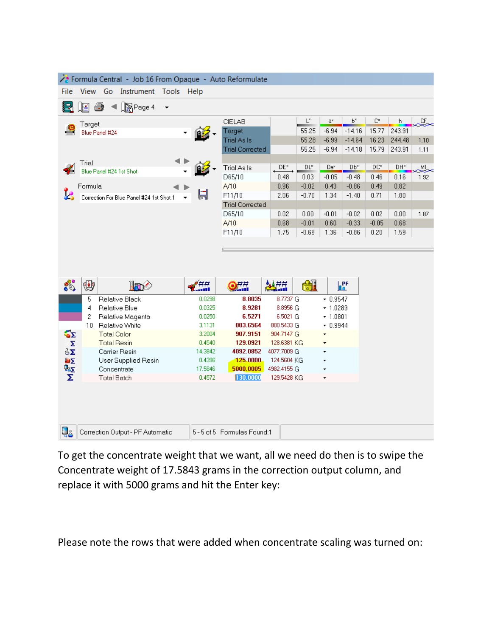| Formula Central - Job 16 From Opaque - Auto Reformulate |                               |                                          |                          |                   |                           |                            |                 |           |                 |                     |                 |         |
|---------------------------------------------------------|-------------------------------|------------------------------------------|--------------------------|-------------------|---------------------------|----------------------------|-----------------|-----------|-----------------|---------------------|-----------------|---------|
| File                                                    | View Go Instrument Tools Help |                                          |                          |                   |                           |                            |                 |           |                 |                     |                 |         |
| 猛                                                       | I≝l                           | 4<br>∏⊠Page 4                            | $\overline{\phantom{a}}$ |                   |                           |                            |                 |           |                 |                     |                 |         |
|                                                         | Target                        |                                          |                          |                   | <b>CIELAB</b>             |                            | $\mathsf{L}^*$  | a×        | P,              | $\mathbb{C}^\times$ | h.              | ے<br>سر |
|                                                         |                               | Blue Panel #24                           |                          |                   | Target                    |                            | 55.25           | $-6.94$   | $-14.16$        | 15.77               | 243.91          |         |
|                                                         |                               |                                          |                          |                   | Trial As Is               |                            | 55.28           | $-6.99$   | $-14.64$        | 16.23               | 244.48          | 1.10    |
|                                                         |                               |                                          |                          |                   | <b>Trial Corrected</b>    |                            | 55.25           | $-6.94$   | $-14.18$        | 15.79               | 243.91          | 1.11    |
|                                                         | Trial                         |                                          |                          |                   |                           |                            |                 |           |                 |                     |                 |         |
|                                                         |                               | Blue Panel #24 1st Shot                  |                          |                   | Trial As Is               | $\mathsf{DE}^*$            | DL <sup>*</sup> | Da*       | Db <sup>x</sup> | DC*                 | DH <sup>*</sup> | ML      |
|                                                         |                               |                                          |                          | D65/10            | 0.48                      | 0.03                       | $-0.05$         | $-0.48$   | 0.46            | 0.16                | 1.92            |         |
|                                                         | Formula                       |                                          |                          |                   | A/10                      | 0.96                       | $-0.02$         | 0.43      | $-0.86$         | 0.49                | 0.82            |         |
|                                                         |                               | Correction For Blue Panel #24 1st Shot 1 |                          |                   | F11/10                    | 2.06                       | $-0.70$         | 1.34      | $-1.40$         | 0.71                | 1.80            |         |
|                                                         |                               |                                          |                          |                   | <b>Trial Corrected</b>    |                            |                 |           |                 |                     |                 |         |
|                                                         |                               |                                          |                          |                   | D65/10                    | 0.02                       | 0.00            | $-0.01$   | $-0.02$         | 0.02                | 0.00            | 1.87    |
|                                                         |                               |                                          |                          |                   | A/10                      | 0.68                       | $-0.01$         | 0.60      | $-0.33$         | $-0.05$             | 0.68            |         |
|                                                         |                               |                                          |                          |                   | F11/10                    | 1.75                       | $-0.69$         | 1.36      | $-0.86$         | 0.20                | 1.59            |         |
|                                                         |                               |                                          |                          |                   |                           |                            |                 |           |                 |                     |                 |         |
|                                                         |                               |                                          |                          |                   |                           |                            |                 |           |                 |                     |                 |         |
|                                                         |                               |                                          |                          |                   |                           |                            |                 |           |                 |                     |                 |         |
|                                                         |                               |                                          |                          |                   |                           |                            |                 |           |                 |                     |                 |         |
|                                                         | 變                             | <b>In</b>                                |                          | ĦĦ<br>            | 9##                       | 無益                         | <b>el</b>       |           | <b>PF</b>       |                     |                 |         |
|                                                         | 5                             | Relative Black                           |                          | 0.0298            | 8.8035                    | 8.7737 G                   |                 | $-0.9547$ |                 |                     |                 |         |
|                                                         | 4                             | Relative Blue                            |                          | 0.0325            | 8.9281                    | 8.8956 G                   |                 | $-1.0289$ |                 |                     |                 |         |
|                                                         | 2                             | Relative Magenta                         |                          | 0.0250            | 6.5271                    | 6.5021 G                   |                 | $-1.0801$ |                 |                     |                 |         |
|                                                         | 10 <sup>1</sup>               | Relative White                           |                          | 3.1131            | 883.6564                  | 880.5433 G                 |                 | $-0.9944$ |                 |                     |                 |         |
| ĞΣ                                                      |                               | <b>Total Color</b>                       |                          | 3.2004            | 907.9151                  | 904.7147 G                 |                 | ÷         |                 |                     |                 |         |
| Σ                                                       |                               | <b>Total Resin</b>                       |                          | 0.4540            | 129.0921                  | 128.6381 KG                |                 |           |                 |                     |                 |         |
| äΣ                                                      |                               | Carrier Resin                            |                          | 14.3842<br>0.4396 | 4092.0852<br>125.0000     | 4077.7009 G<br>124.5604 KG |                 |           |                 |                     |                 |         |
| 响区                                                      |                               | User Supplied Resin<br>Concentrate       |                          | 17.5846           | 5000.0005                 | 4982.4155 G                |                 |           |                 |                     |                 |         |
| $\frac{\mathbf{Q}_{\Delta\Sigma}}{\Sigma}$              |                               | <b>Total Batch</b>                       |                          | 0.4572            | 130.0000                  | 129.5428 KG                |                 | ٠         |                 |                     |                 |         |
|                                                         |                               |                                          |                          |                   |                           |                            |                 |           |                 |                     |                 |         |
|                                                         |                               |                                          |                          |                   |                           |                            |                 |           |                 |                     |                 |         |
|                                                         |                               |                                          |                          |                   |                           |                            |                 |           |                 |                     |                 |         |
|                                                         |                               |                                          |                          |                   |                           |                            |                 |           |                 |                     |                 |         |
|                                                         |                               |                                          |                          |                   |                           |                            |                 |           |                 |                     |                 |         |
| 43                                                      |                               | Correction Output - PF Automatic         |                          |                   | 5-5 of 5 Formulas Found:1 |                            |                 |           |                 |                     |                 |         |

To get the concentrate weight that we want, all we need do then is to swipe the Concentrate weight of 17.5843 grams in the correction output column, and replace it with 5000 grams and hit the Enter key:

Please note the rows that were added when concentrate scaling was turned on: